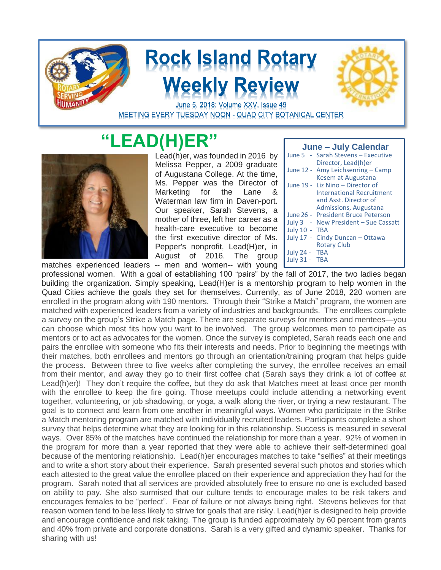

# **Rock Island Rotary /eekly Reviev**



June 5, 2018: Volume XXV, Issue 49 MEETING EVERY TUESDAY NOON - QUAD CITY BOTANICAL CENTER

# **"LEAD(H)ER"**



Lead(h)er, was founded in 2016 by Melissa Pepper, a 2009 graduate of Augustana College. At the time, Ms. Pepper was the Director of Marketing for the Lane & Waterman law firm in Daven-port. Our speaker, Sarah Stevens, a mother of three, left her career as a health-care executive to become the first executive director of Ms. Pepper's nonprofit, Lead(H)er, in August of 2016. The group matches experienced leaders -- men and women-- with young

| June - July Calendar |                                      |
|----------------------|--------------------------------------|
|                      | June 5 - Sarah Stevens - Executive   |
|                      | Director, Lead(h)er                  |
|                      | June 12 - Amy Leichsenring - Camp    |
|                      | Kesem at Augustana                   |
|                      | June 19 - Liz Nino - Director of     |
|                      | <b>International Recruitment</b>     |
|                      | and Asst. Director of                |
|                      | Admissions, Augustana                |
|                      | June 26 - President Bruce Peterson   |
|                      | July 3 - New President - Sue Cassatt |
| <b>July 10 - TBA</b> |                                      |
|                      | July 17 - Cindy Duncan - Ottawa      |
|                      | <b>Rotary Club</b>                   |
| July 24 - TBA        |                                      |
| July 31 - TBA        |                                      |

professional women. With a goal of establishing 100 "pairs" by the fall of 2017, the two ladies began building the organization. Simply speaking, Lead(H)er is a mentorship program to help women in the Quad Cities achieve the goals they set for themselves. Currently, as of June 2018, 220 women are enrolled in the program along with 190 mentors. Through their "Strike a Match" program, the women are matched with experienced leaders from a variety of industries and backgrounds. The enrollees complete a survey on the group's Strike a Match page. There are separate surveys for mentors and mentees—you can choose which most fits how you want to be involved. The group welcomes men to participate as mentors or to act as advocates for the women. Once the survey is completed, Sarah reads each one and pairs the enrollee with someone who fits their interests and needs. Prior to beginning the meetings with their matches, both enrollees and mentors go through an orientation/training program that helps guide the process. Between three to five weeks after completing the survey, the enrollee receives an email from their mentor, and away they go to their first coffee chat (Sarah says they drink a lot of coffee at Lead(h)er)! They don't require the coffee, but they do ask that Matches meet at least once per month with the enrollee to keep the fire going. Those meetups could include attending a networking event together, volunteering, or job shadowing, or yoga, a walk along the river, or trying a new restaurant. The goal is to connect and learn from one another in meaningful ways. Women who participate in the Strike a Match mentoring program are matched with individually recruited leaders. Participants complete a short survey that helps determine what they are looking for in this relationship. Success is measured in several ways. Over 85% of the matches have continued the relationship for more than a year. 92% of women in the program for more than a year reported that they were able to achieve their self-determined goal because of the mentoring relationship. Lead(h)er encourages matches to take "selfies" at their meetings and to write a short story about their experience. Sarah presented several such photos and stories which each attested to the great value the enrollee placed on their experience and appreciation they had for the program. Sarah noted that all services are provided absolutely free to ensure no one is excluded based on ability to pay. She also surmised that our culture tends to encourage males to be risk takers and encourages females to be "perfect". Fear of failure or not always being right. Stevens believes for that reason women tend to be less likely to strive for goals that are risky. Lead(h)er is designed to help provide and encourage confidence and risk taking. The group is funded approximately by 60 percent from grants and 40% from private and corporate donations. Sarah is a very gifted and dynamic speaker. Thanks for sharing with us!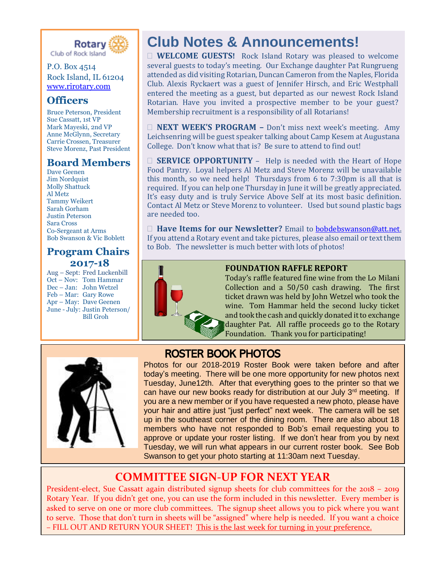

P.O. Box 4514 Rock Island, IL 61204 [www.rirotary.com](http://www.rirotary.com/)

# **Officers**

Bruce Peterson, President Sue Cassatt, 1st VP Mark Mayeski, 2nd VP Anne McGlynn, Secretary Carrie Crossen, Treasurer Steve Morenz, Past President

## **Board Members**

Dave Geenen Jim Nordquist Molly Shattuck Al Metz Tammy Weikert Sarah Gorham Justin Peterson Sara Cross Co-Sergeant at Arms Bob Swanson & Vic Boblett

#### **Program Chairs 2017-18**

Aug – Sept: Fred Luckenbill Oct – Nov: Tom Hammar Dec – Jan: John Wetzel Feb – Mar: Gary Rowe Apr – May: Dave Geenen June - July: Justin Peterson/ Bill Groh

# **Club Notes & Announcements!**

 **WELCOME GUESTS!** Rock Island Rotary was pleased to welcome several guests to today's meeting. Our Exchange daughter Pat Rungrueng attended as did visiting Rotarian, Duncan Cameron from the Naples, Florida Club. Alexis Ryckaert was a guest of Jennifer Hirsch, and Eric Westphall entered the meeting as a guest, but departed as our newest Rock Island Rotarian. Have you invited a prospective member to be your guest? Membership recruitment is a responsibility of all Rotarians!

□ **NEXT WEEK'S PROGRAM -** Don't miss next week's meeting. Amy Leichsenring will be guest speaker talking about Camp Kesem at Augustana College. Don't know what that is? Be sure to attend to find out!

 **SERVICE OPPORTUNITY** – Help is needed with the Heart of Hope Food Pantry. Loyal helpers Al Metz and Steve Morenz will be unavailable this month, so we need help! Thursdays from 6 to 7:30pm is all that is required. If you can help one Thursday in June it will be greatly appreciated. It's easy duty and is truly Service Above Self at its most basic definition. Contact Al Metz or Steve Morenz to volunteer. Used but sound plastic bags are needed too.

 **Have Items for our Newsletter?** Email to [bobdebswanson@att.net.](mailto:bobdebswanson@att.net) If you attend a Rotary event and take pictures, please also email or text them to Bob. The newsletter is much better with lots of photos!



#### **FOUNDATION RAFFLE REPORT**

Today's raffle featured fine wine from the Lo Milani Collection and a 50/50 cash drawing. The first ticket drawn was held by John Wetzel who took the wine. Tom Hammar held the second lucky ticket and took the cash and quickly donated it to exchange daughter Pat. All raffle proceeds go to the Rotary Foundation. Thank you for participating!

# ROSTER BOOK PHOTOS

Photos for our 2018-2019 Roster Book were taken before and after today's meeting. There will be one more opportunity for new photos next Tuesday, June12th. After that everything goes to the printer so that we can have our new books ready for distribution at our July  $3<sup>rd</sup>$  meeting. If you are a new member or if you have requested a new photo, please have your hair and attire just "just perfect" next week. The camera will be set up in the southeast corner of the dining room. There are also about 18 members who have not responded to Bob's email requesting you to approve or update your roster listing. If we don't hear from you by next Tuesday, we will run what appears in our current roster book. See Bob Swanson to get your photo starting at 11:30am next Tuesday.

# **COMMITTEE SIGN-UP FOR NEXT YEAR**

President-elect, Sue Cassatt again distributed signup sheets for club committees for the 2018 – 2019 Rotary Year. If you didn't get one, you can use the form included in this newsletter. Every member is asked to serve on one or more club committees. The signup sheet allows you to pick where you want to serve. Those that don't turn in sheets will be "assigned" where help is needed. If you want a choice – FILL OUT AND RETURN YOUR SHEET! This is the last week for turning in your preference.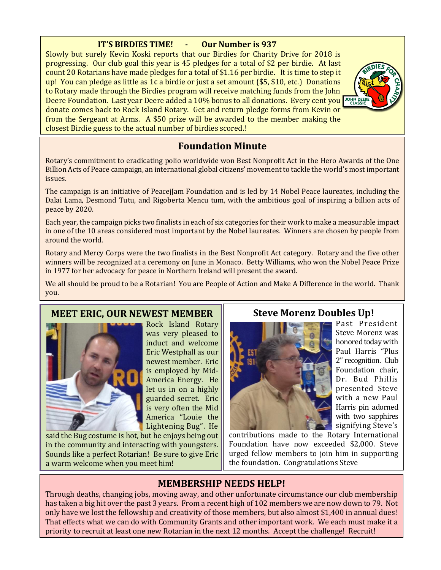#### **IT'S BIRDIES TIME! - Our Number is 937**

Slowly but surely Kevin Koski reports that our Birdies for Charity Drive for 2018 is progressing. Our club goal this year is 45 pledges for a total of \$2 per birdie. At last count 20 Rotarians have made pledges for a total of \$1.16 per birdie. It is time to step it up! You can pledge as little as  $1¢$  a birdie or just a set amount (\$5, \$10, etc.) Donations to Rotary made through the Birdies program will receive matching funds from the John Deere Foundation. Last year Deere added a 10% bonus to all donations. Every cent you poin be donate comes back to Rock Island Rotary. Get and return pledge forms from Kevin or from the Sergeant at Arms. A \$50 prize will be awarded to the member making the closest Birdie guess to the actual number of birdies scored.!



## **Foundation Minute**

Rotary's commitment to eradicating polio worldwide won Best Nonprofit Act in the Hero Awards of the One Billion Acts of Peace campaign, an international global citizens' movement to tackle the world's most important issues.

The campaign is an initiative of PeacejJam Foundation and is led by 14 Nobel Peace laureates, including the Dalai Lama, Desmond Tutu, and Rigoberta Mencu tum, with the ambitious goal of inspiring a billion acts of peace by 2020.

Each year, the campaign picks two finalists in each of six categories for their work to make a measurable impact in one of the 10 areas considered most important by the Nobel laureates. Winners are chosen by people from around the world.

Rotary and Mercy Corps were the two finalists in the Best Nonprofit Act category. Rotary and the five other winners will be recognized at a ceremony on June in Monaco. Betty Williams, who won the Nobel Peace Prize in 1977 for her advocacy for peace in Northern Ireland will present the award.

We all should be proud to be a Rotarian! You are People of Action and Make A Difference in the world. Thank you.

#### **MEET ERIC, OUR NEWEST MEMBER**



Rock Island Rotary was very pleased to induct and welcome Eric Westphall as our newest member. Eric is employed by Mid-America Energy. He let us in on a highly guarded secret. Eric is very often the Mid America "Louie the Lightening Bug". He

a warm welcome when you meet him! said the Bug costume is hot, but he enjoys being out in the community and interacting with youngsters. Sounds like a perfect Rotarian! Be sure to give Eric

### **Steve Morenz Doubles Up!**



Past President Steve Morenz was honored todaywith Paul Harris "Plus 2" recognition. Club Foundation chair, Dr. Bud Phillis presented Steve with a new Paul Harris pin adorned with two sapphires signifying Steve's

contributions made to the Rotary International Foundation have now exceeded \$2,000. Steve urged fellow members to join him in supporting the foundation. Congratulations Steve

## **MEMBERSHIP NEEDS HELP!**

Through deaths, changing jobs, moving away, and other unfortunate circumstance our club membership has taken a big hit over the past 3 years. From a recent high of 102 members we are now down to 79. Not only have we lost the fellowship and creativity of those members, but also almost \$1,400 in annual dues! That effects what we can do with Community Grants and other important work. We each must make it a priority to recruit at least one new Rotarian in the next 12 months. Accept the challenge! Recruit!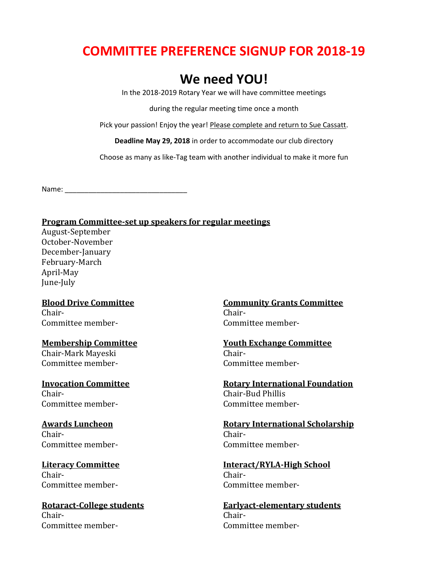# **COMMITTEE PREFERENCE SIGNUP FOR 2018-19**

# **We need YOU!**

In the 2018-2019 Rotary Year we will have committee meetings

during the regular meeting time once a month

Pick your passion! Enjoy the year! Please complete and return to Sue Cassatt.

**Deadline May 29, 2018** in order to accommodate our club directory

Choose as many as like-Tag team with another individual to make it more fun

Name:  $\blacksquare$ 

#### **Program Committee-set up speakers for regular meetings**

August-September October-November December-January February-March April-May June-July

Chair- Chair-Committee member- Committee member-

Chair-Mark Mayeski Chair-Committee member- Committee member-

Chair- Chair-Bud Phillis Committee member- Committee member-

Chair- Chair-Committee member- Committee member-

Chair- Chair-Committee member- Committee member-

Chair- Chair-Committee member- Committee member-

**Blood Drive Committee Community Grants Committee** 

**Membership Committee Youth Exchange Committee**

**Invocation Committee <b>Rotary International Foundation** 

**Awards Luncheon Rotary International Scholarship**

**Literacy Committee Interact/RYLA-High School**

**Rotaract-College students Earlyact-elementary students**